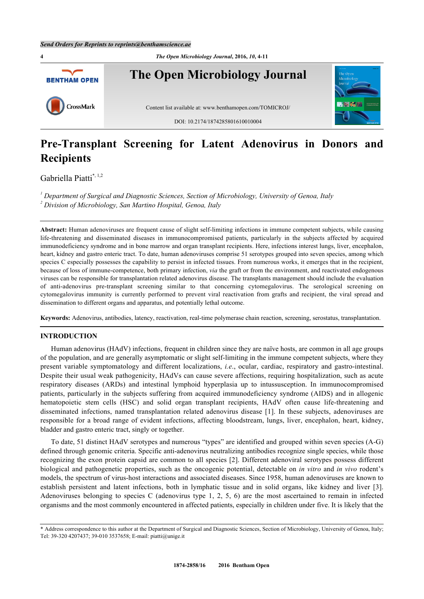

# **Pre-Transplant Screening for Latent Adenovirus in Donors and Recipients**

Gabriella Piatti[\\*,](#page-0-0) [1,](#page-0-1)[2](#page-0-2)

<span id="page-0-2"></span><span id="page-0-1"></span>*1 Department of Surgical and Diagnostic Sciences, Section of Microbiology, University of Genoa, Italy 2 Division of Microbiology, San Martino Hospital, Genoa, Italy*

**Abstract:** Human adenoviruses are frequent cause of slight self-limiting infections in immune competent subjects, while causing life-threatening and disseminated diseases in immunocompromised patients, particularly in the subjects affected by acquired immunodeficiency syndrome and in bone marrow and organ transplant recipients. Here, infections interest lungs, liver, encephalon, heart, kidney and gastro enteric tract. To date, human adenoviruses comprise 51 serotypes grouped into seven species, among which species C especially possesses the capability to persist in infected tissues. From numerous works, it emerges that in the recipient, because of loss of immune-competence, both primary infection, *via* the graft or from the environment, and reactivated endogenous viruses can be responsible for transplantation related adenovirus disease. The transplants management should include the evaluation of anti-adenovirus pre-transplant screening similar to that concerning cytomegalovirus. The serological screening on cytomegalovirus immunity is currently performed to prevent viral reactivation from grafts and recipient, the viral spread and dissemination to different organs and apparatus, and potentially lethal outcome.

**Keywords:** Adenovirus, antibodies, latency, reactivation, real-time polymerase chain reaction, screening, serostatus, transplantation.

# **INTRODUCTION**

Human adenovirus (HAdV) infections, frequent in children since they are naïve hosts, are common in all age groups of the population, and are generally asymptomatic or slight self-limiting in the immune competent subjects, where they present variable symptomatology and different localizations, *i.e*., ocular, cardiac, respiratory and gastro-intestinal. Despite their usual weak pathogenicity, HAdVs can cause severe affections, requiring hospitalization, such as acute respiratory diseases (ARDs) and intestinal lymphoid hyperplasia up to intussusception. In immunocompromised patients, particularly in the subjects suffering from acquired immunodeficiency syndrome (AIDS) and in allogenic hematopoietic stem cells (HSC) and solid organ transplant recipients, HAdV often cause life-threatening and disseminated infections, named transplantation related adenovirus disease[[1\]](#page-5-0). In these subjects, adenoviruses are responsible for a broad range of evident infections, affecting bloodstream, lungs, liver, encephalon, heart, kidney, bladder and gastro enteric tract, singly or together.

To date, 51 distinct HAdV serotypes and numerous "types" are identified and grouped within seven species (A-G) defined through genomic criteria. Specific anti-adenovirus neutralizing antibodies recognize single species, while those recognizing the exon protein capsid are common to all species [\[2](#page-5-1)]. Different adenoviral serotypes possess different biological and pathogenetic properties, such as the oncogenic potential, detectable on *in vitro* and *in vivo* rodent's models, the spectrum of virus-host interactions and associated diseases. Since 1958, human adenoviruses are known to establish persistent and latent infections, both in lymphatic tissue and in solid organs, like kidney and liver[[3\]](#page-5-2). Adenoviruses belonging to species C (adenovirus type 1, 2, 5, 6) are the most ascertained to remain in infected organisms and the most commonly encountered in affected patients, especially in children under five. It is likely that the

<span id="page-0-0"></span><sup>\*</sup> Address correspondence to this author at the Department of Surgical and Diagnostic Sciences, Section of Microbiology, University of Genoa, Italy; Tel: 39-320 4207437; 39-010 3537658; E-mail: [piatti@unige.it](mailto:piatti@unige.it)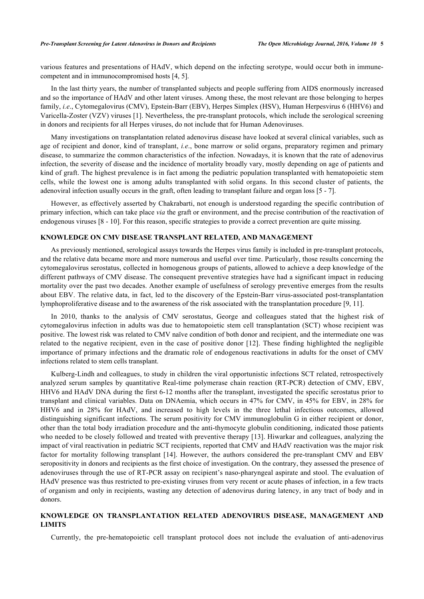various features and presentations of HAdV, which depend on the infecting serotype, would occur both in immunecompetent and in immunocompromised hosts [[4,](#page-5-3) [5\]](#page-5-4).

In the last thirty years, the number of transplanted subjects and people suffering from AIDS enormously increased and so the importance of HAdV and other latent viruses. Among these, the most relevant are those belonging to herpes family, *i.e.*, Cytomegalovirus (CMV), Epstein-Barr (EBV), Herpes Simplex (HSV), Human Herpesvirus 6 (HHV6) and Varicella-Zoster (VZV) viruses [\[1](#page-5-0)]. Nevertheless, the pre-transplant protocols, which include the serological screening in donors and recipients for all Herpes viruses, do not include that for Human Adenoviruses.

Many investigations on transplantation related adenovirus disease have looked at several clinical variables, such as age of recipient and donor, kind of transplant, *i.e*., bone marrow or solid organs, preparatory regimen and primary disease, to summarize the common characteristics of the infection. Nowadays, it is known that the rate of adenovirus infection, the severity of disease and the incidence of mortality broadly vary, mostly depending on age of patients and kind of graft. The highest prevalence is in fact among the pediatric population transplanted with hematopoietic stem cells, while the lowest one is among adults transplanted with solid organs. In this second cluster of patients, the adenoviral infection usually occurs in the graft, often leading to transplant failure and organ loss [[5](#page-5-4) - [7](#page-5-5)].

However, as effectively asserted by Chakrabarti, not enough is understood regarding the specific contribution of primary infection, which can take place *via* the graft or environment, and the precise contribution of the reactivation of endogenous viruses [\[8](#page-5-6) - [10](#page-5-7)]. For this reason, specific strategies to provide a correct prevention are quite missing.

# **KNOWLEDGE ON CMV DISEASE TRANSPLANT RELATED, AND MANAGEMENT**

As previously mentioned, serological assays towards the Herpes virus family is included in pre-transplant protocols, and the relative data became more and more numerous and useful over time. Particularly, those results concerning the cytomegalovirus serostatus, collected in homogenous groups of patients, allowed to achieve a deep knowledge of the different pathways of CMV disease. The consequent preventive strategies have had a significant impact in reducing mortality over the past two decades. Another example of usefulness of serology preventive emerges from the results about EBV. The relative data, in fact, led to the discovery of the Epstein-Barr virus-associated post-transplantation lymphoproliferative disease and to the awareness of the risk associated with the transplantation procedure [\[9](#page-5-8), [11](#page-5-9)].

In 2010, thanks to the analysis of CMV serostatus, George and colleagues stated that the highest risk of cytomegalovirus infection in adults was due to hematopoietic stem cell transplantation (SCT) whose recipient was positive. The lowest risk was related to CMV naïve condition of both donor and recipient, and the intermediate one was related to the negative recipient, even in the case of positive donor [\[12\]](#page-5-10). These finding highlighted the negligible importance of primary infections and the dramatic role of endogenous reactivations in adults for the onset of CMV infections related to stem cells transplant.

Kulberg-Lindh and colleagues, to study in children the viral opportunistic infections SCT related, retrospectively analyzed serum samples by quantitative Real-time polymerase chain reaction (RT-PCR) detection of CMV, EBV, HHV6 and HAdV DNA during the first 6-12 months after the transplant, investigated the specific serostatus prior to transplant and clinical variables. Data on DNAemia, which occurs in 47% for CMV, in 45% for EBV, in 28% for HHV6 and in 28% for HAdV, and increased to high levels in the three lethal infectious outcomes, allowed distinguishing significant infections. The serum positivity for CMV immunoglobulin G in either recipient or donor, other than the total body irradiation procedure and the anti-thymocyte globulin conditioning, indicated those patients who needed to be closely followed and treated with preventive therapy [\[13\]](#page-5-11). Hiwarkar and colleagues, analyzing the impact of viral reactivation in pediatric SCT recipients, reported that CMV and HAdV reactivation was the major risk factor for mortality following transplant [\[14](#page-5-12)]. However, the authors considered the pre-transplant CMV and EBV seropositivity in donors and recipients as the first choice of investigation. On the contrary, they assessed the presence of adenoviruses through the use of RT-PCR assay on recipient's naso-pharyngeal aspirate and stool. The evaluation of HAdV presence was thus restricted to pre-existing viruses from very recent or acute phases of infection, in a few tracts of organism and only in recipients, wasting any detection of adenovirus during latency, in any tract of body and in donors.

## **KNOWLEDGE ON TRANSPLANTATION RELATED ADENOVIRUS DISEASE, MANAGEMENT AND LIMITS**

Currently, the pre-hematopoietic cell transplant protocol does not include the evaluation of anti-adenovirus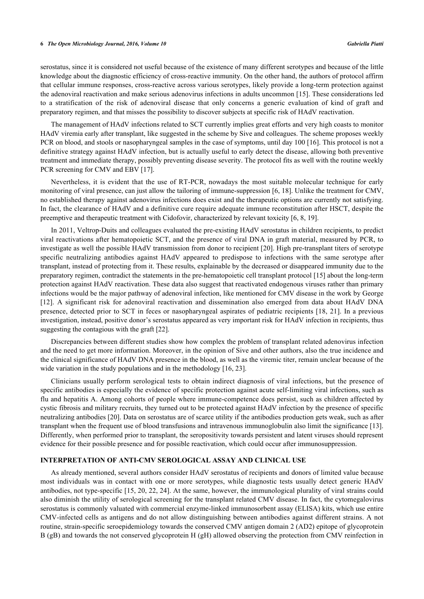#### **6** *The Open Microbiology Journal, 2016, Volume 10 Gabriella Piatti*

serostatus, since it is considered not useful because of the existence of many different serotypes and because of the little knowledge about the diagnostic efficiency of cross-reactive immunity. On the other hand, the authors of protocol affirm that cellular immune responses, cross-reactive across various serotypes, likely provide a long-term protection against the adenoviral reactivation and make serious adenovirus infections in adults uncommon [[15\]](#page-5-13). These considerations led to a stratification of the risk of adenoviral disease that only concerns a generic evaluation of kind of graft and preparatory regimen, and that misses the possibility to discover subjects at specific risk of HAdV reactivation.

The management of HAdV infections related to SCT currently implies great efforts and very high coasts to monitor HAdV viremia early after transplant, like suggested in the scheme by Sive and colleagues. The scheme proposes weekly PCR on blood, and stools or nasopharyngeal samples in the case of symptoms, until day 100 [[16\]](#page-5-14). This protocol is not a definitive strategy against HAdV infection, but is actually useful to early detect the disease, allowing both preventive treatment and immediate therapy, possibly preventing disease severity. The protocol fits as well with the routine weekly PCR screening for CMV and EBV [\[17](#page-5-15)].

Nevertheless, it is evident that the use of RT-PCR, nowadays the most suitable molecular technique for early monitoring of viral presence, can just allow the tailoring of immune-suppression [[6,](#page-5-16) [18\]](#page-5-17). Unlike the treatment for CMV, no established therapy against adenovirus infections does exist and the therapeutic options are currently not satisfying. In fact, the clearance of HAdV and a definitive cure require adequate immune reconstitution after HSCT, despite the preemptive and therapeutic treatment with Cidofovir, characterized by relevant toxicity [[6](#page-5-16)[, 8](#page-5-6)[, 19\]](#page-5-18).

In 2011, Veltrop-Duits and colleagues evaluated the pre-existing HAdV serostatus in children recipients, to predict viral reactivations after hematopoietic SCT, and the presence of viral DNA in graft material, measured by PCR, to investigate as well the possible HAdV transmission from donor to recipient [[20\]](#page-5-19). High pre-transplant titers of serotype specific neutralizing antibodies against HAdV appeared to predispose to infections with the same serotype after transplant, instead of protecting from it. These results, explainable by the decreased or disappeared immunity due to the preparatory regimen, contradict the statements in the pre-hematopoietic cell transplant protocol [[15\]](#page-5-13) about the long-term protection against HAdV reactivation. These data also suggest that reactivated endogenous viruses rather than primary infections would be the major pathway of adenoviral infection, like mentioned for CMV disease in the work by George [\[12](#page-5-10)]. A significant risk for adenoviral reactivation and dissemination also emerged from data about HAdV DNA presence, detected prior to SCT in feces or nasopharyngeal aspirates of pediatric recipients [\[18](#page-5-17), [21\]](#page-6-0). In a previous investigation, instead, positive donor's serostatus appeared as very important risk for HAdV infection in recipients, thus suggesting the contagious with the graft [\[22](#page-6-1)].

Discrepancies between different studies show how complex the problem of transplant related adenovirus infection and the need to get more information. Moreover, in the opinion of Sive and other authors, also the true incidence and the clinical significance of HAdV DNA presence in the blood, as well as the viremic titer, remain unclear because of the wide variation in the study populations and in the methodology [[16,](#page-5-14) [23\]](#page-6-2).

Clinicians usually perform serological tests to obtain indirect diagnosis of viral infections, but the presence of specific antibodies is especially the evidence of specific protection against acute self-limiting viral infections, such as flu and hepatitis A. Among cohorts of people where immune-competence does persist, such as children affected by cystic fibrosis and military recruits, they turned out to be protected against HAdV infection by the presence of specific neutralizing antibodies [[20\]](#page-5-19). Data on serostatus are of scarce utility if the antibodies production gets weak, such as after transplant when the frequent use of blood transfusions and intravenous immunoglobulin also limit the significance [[13\]](#page-5-11). Differently, when performed prior to transplant, the seropositivity towards persistent and latent viruses should represent evidence for their possible presence and for possible reactivation, which could occur after immunosuppression.

### **INTERPRETATION OF ANTI-CMV SEROLOGICAL ASSAY AND CLINICAL USE**

As already mentioned, several authors consider HAdV serostatus of recipients and donors of limited value because most individuals was in contact with one or more serotypes, while diagnostic tests usually detect generic HAdV antibodies, not type-specific [\[15](#page-5-13), [20,](#page-5-19) [22](#page-6-1), [24\]](#page-6-3). At the same, however, the immunological plurality of viral strains could also diminish the utility of serological screening for the transplant related CMV disease. In fact, the cytomegalovirus serostatus is commonly valuated with commercial enzyme-linked immunosorbent assay (ELISA) kits, which use entire CMV-infected cells as antigens and do not allow distinguishing between antibodies against different strains. A not routine, strain-specific seroepidemiology towards the conserved CMV antigen domain 2 (AD2) epitope of glycoprotein B (gB) and towards the not conserved glycoprotein H (gH) allowed observing the protection from CMV reinfection in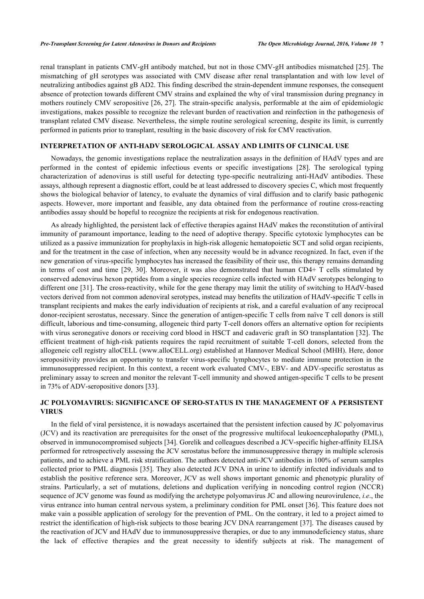renal transplant in patients CMV-gH antibody matched, but not in those CMV-gH antibodies mismatched [\[25\]](#page-6-4). The mismatching of gH serotypes was associated with CMV disease after renal transplantation and with low level of neutralizing antibodies against gB AD2. This finding described the strain-dependent immune responses, the consequent absence of protection towards different CMV strains and explained the why of viral transmission during pregnancy in mothers routinely CMV seropositive [[26](#page-6-5)[, 27\]](#page-6-6). The strain-specific analysis, performable at the aim of epidemiologic investigations, makes possible to recognize the relevant burden of reactivation and reinfection in the pathogenesis of transplant related CMV disease. Nevertheless, the simple routine serological screening, despite its limit, is currently performed in patients prior to transplant, resulting in the basic discovery of risk for CMV reactivation.

## **INTERPRETATION OF ANTI-HADV SEROLOGICAL ASSAY AND LIMITS OF CLINICAL USE**

Nowadays, the genomic investigations replace the neutralization assays in the definition of HAdV types and are performed in the contest of epidemic infectious events or specific investigations[[28\]](#page-6-7). The serological typing characterization of adenovirus is still useful for detecting type-specific neutralizing anti-HAdV antibodies. These assays, although represent a diagnostic effort, could be at least addressed to discovery species C, which most frequently shows the biological behavior of latency, to evaluate the dynamics of viral diffusion and to clarify basic pathogenic aspects. However, more important and feasible, any data obtained from the performance of routine cross-reacting antibodies assay should be hopeful to recognize the recipients at risk for endogenous reactivation.

As already highlighted, the persistent lack of effective therapies against HAdV makes the reconstitution of antiviral immunity of paramount importance, leading to the need of adoptive therapy. Specific cytotoxic lymphocytes can be utilized as a passive immunization for prophylaxis in high-risk allogenic hematopoietic SCT and solid organ recipients, and for the treatment in the case of infection, when any necessity would be in advance recognized. In fact, even if the new generation of virus-specific lymphocytes has increased the feasibility of their use, this therapy remains demanding in terms of cost and time[[29](#page-6-8)[, 30\]](#page-6-9). Moreover, it was also demonstrated that human CD4+ T cells stimulated by conserved adenovirus hexon peptides from a single species recognize cells infected with HAdV serotypes belonging to different one [[31](#page-6-10)]. The cross-reactivity, while for the gene therapy may limit the utility of switching to HAdV-based vectors derived from not common adenoviral serotypes, instead may benefits the utilization of HAdV-specific T cells in transplant recipients and makes the early individuation of recipients at risk, and a careful evaluation of any reciprocal donor-recipient serostatus, necessary. Since the generation of antigen-specific T cells from naïve T cell donors is still difficult, laborious and time-consuming, allogeneic third party T-cell donors offers an alternative option for recipients with virus seronegative donors or receiving cord blood in HSCT and cadaveric graft in SO transplantation [[32\]](#page-6-11). The efficient treatment of high-risk patients requires the rapid recruitment of suitable T-cell donors, selected from the allogeneic cell registry alloCELL (www.alloCELL.org) established at Hannover Medical School (MHH). Here, donor seropositivity provides an opportunity to transfer virus-specific lymphocytes to mediate immune protection in the immunosuppressed recipient. In this context, a recent work evaluated CMV-, EBV- and ADV-specific serostatus as preliminary assay to screen and monitor the relevant T-cell immunity and showed antigen-specific T cells to be present in 73% of ADV-seropositive donors [[33\]](#page-6-12).

# **JC POLYOMAVIRUS: SIGNIFICANCE OF SERO-STATUS IN THE MANAGEMENT OF A PERSISTENT VIRUS**

In the field of viral persistence, it is nowadays ascertained that the persistent infection caused by JC polyomavirus (JCV) and its reactivation are prerequisites for the onset of the progressive multifocal leukoencephalopathy (PML), observed in immunocompromised subjects [[34\]](#page-6-13). Gorelik and colleagues described a JCV-specific higher-affinity ELISA performed for retrospectively assessing the JCV serostatus before the immunosuppressive therapy in multiple sclerosis patients, and to achieve a PML risk stratification. The authors detected anti-JCV antibodies in 100% of serum samples collected prior to PML diagnosis [\[35](#page-6-14)]. They also detected JCV DNA in urine to identify infected individuals and to establish the positive reference sera. Moreover, JCV as well shows important genomic and phenotypic plurality of strains. Particularly, a set of mutations, deletions and duplication verifying in noncoding control region (NCCR) sequence of JCV genome was found as modifying the archetype polyomavirus JC and allowing neurovirulence, *i.e*., the virus entrance into human central nervous system, a preliminary condition for PML onset [[36\]](#page-6-15). This feature does not make vain a possible application of serology for the prevention of PML. On the contrary, it led to a project aimed to restrict the identification of high-risk subjects to those bearing JCV DNA rearrangement [[37\]](#page-6-16). The diseases caused by the reactivation of JCV and HAdV due to immunosuppressive therapies, or due to any immunodeficiency status, share the lack of effective therapies and the great necessity to identify subjects at risk. The management of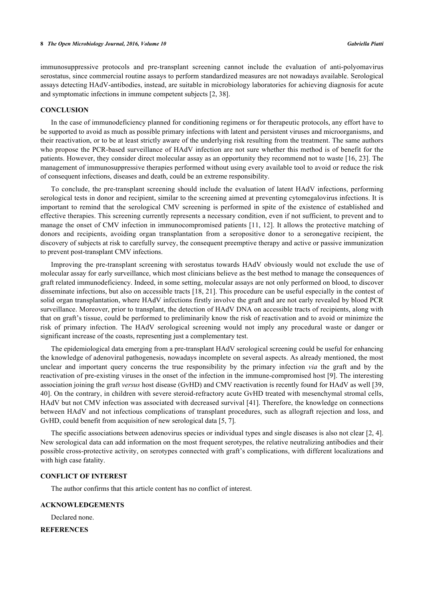immunosuppressive protocols and pre-transplant screening cannot include the evaluation of anti-polyomavirus serostatus, since commercial routine assays to perform standardized measures are not nowadays available. Serological assays detecting HAdV-antibodies, instead, are suitable in microbiology laboratories for achieving diagnosis for acute and symptomatic infections in immune competent subjects [[2,](#page-5-1) [38\]](#page-6-17).

#### **CONCLUSION**

In the case of immunodeficiency planned for conditioning regimens or for therapeutic protocols, any effort have to be supported to avoid as much as possible primary infections with latent and persistent viruses and microorganisms, and their reactivation, or to be at least strictly aware of the underlying risk resulting from the treatment. The same authors who propose the PCR-based surveillance of HAdV infection are not sure whether this method is of benefit for the patients. However, they consider direct molecular assay as an opportunity they recommend not to waste [[16,](#page-5-14) [23](#page-6-2)]. The management of immunosuppressive therapies performed without using every available tool to avoid or reduce the risk of consequent infections, diseases and death, could be an extreme responsibility.

To conclude, the pre-transplant screening should include the evaluation of latent HAdV infections, performing serological tests in donor and recipient, similar to the screening aimed at preventing cytomegalovirus infections. It is important to remind that the serological CMV screening is performed in spite of the existence of established and effective therapies. This screening currently represents a necessary condition, even if not sufficient, to prevent and to manage the onset of CMV infection in immunocompromised patients [\[11,](#page-5-9) [12\]](#page-5-10). It allows the protective matching of donors and recipients, avoiding organ transplantation from a seropositive donor to a seronegative recipient, the discovery of subjects at risk to carefully survey, the consequent preemptive therapy and active or passive immunization to prevent post-transplant CMV infections.

Improving the pre-transplant screening with serostatus towards HAdV obviously would not exclude the use of molecular assay for early surveillance, which most clinicians believe as the best method to manage the consequences of graft related immunodeficiency. Indeed, in some setting, molecular assays are not only performed on blood, to discover disseminate infections, but also on accessible tracts [\[18,](#page-5-17) [21](#page-6-0)]. This procedure can be useful especially in the contest of solid organ transplantation, where HAdV infections firstly involve the graft and are not early revealed by blood PCR surveillance. Moreover, prior to transplant, the detection of HAdV DNA on accessible tracts of recipients, along with that on graft's tissue, could be performed to preliminarily know the risk of reactivation and to avoid or minimize the risk of primary infection. The HAdV serological screening would not imply any procedural waste or danger or significant increase of the coasts, representing just a complementary test.

The epidemiological data emerging from a pre-transplant HAdV serological screening could be useful for enhancing the knowledge of adenoviral pathogenesis, nowadays incomplete on several aspects. As already mentioned, the most unclear and important query concerns the true responsibility by the primary infection *via* the graft and by the reactivation of pre-existing viruses in the onset of the infection in the immune-compromised host [[9](#page-5-8)]. The interesting association joining the graft *versus* host disease (GvHD) and CMV reactivation is recently found for HAdV as well [[39](#page-7-0), [40\]](#page-7-1). On the contrary, in children with severe steroid-refractory acute GvHD treated with mesenchymal stromal cells, HAdV but not CMV infection was associated with decreased survival [[41\]](#page-7-2). Therefore, the knowledge on connections between HAdV and not infectious complications of transplant procedures, such as allograft rejection and loss, and GvHD, could benefit from acquisition of new serological data [[5,](#page-5-4) [7\]](#page-5-5).

The specific associations between adenovirus species or individual types and single diseases is also not clear [\[2,](#page-5-1) [4\]](#page-5-3). New serological data can add information on the most frequent serotypes, the relative neutralizing antibodies and their possible cross-protective activity, on serotypes connected with graft's complications, with different localizations and with high case fatality.

#### **CONFLICT OF INTEREST**

The author confirms that this article content has no conflict of interest.

#### **ACKNOWLEDGEMENTS**

Declared none.

**REFERENCES**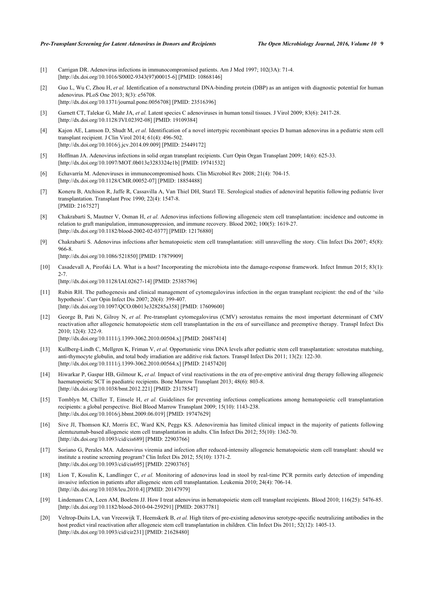#### *Pre-Transplant Screening for Latent Adenovirus in Donors and Recipients The Open Microbiology Journal, 2016, Volume 10* **9**

- <span id="page-5-0"></span>[1] Carrigan DR. Adenovirus infections in immunocompromised patients. Am J Med 1997; 102(3A): 71-4. [\[http://dx.doi.org/10.1016/S0002-9343\(97\)00015-6\]](http://dx.doi.org/10.1016/S0002-9343(97)00015-6) [PMID: [10868146](http://www.ncbi.nlm.nih.gov/pubmed/10868146)]
- <span id="page-5-1"></span>[2] Guo L, Wu C, Zhou H, et al. Identification of a nonstructural DNA-binding protein (DBP) as an antigen with diagnostic potential for human adenovirus. PLoS One 2013; 8(3): e56708. [\[http://dx.doi.org/10.1371/journal.pone.0056708](http://dx.doi.org/10.1371/journal.pone.0056708)] [PMID: [23516396\]](http://www.ncbi.nlm.nih.gov/pubmed/23516396)
- <span id="page-5-2"></span>[3] Garnett CT, Talekar G, Mahr JA, *et al.* Latent species C adenoviruses in human tonsil tissues. J Virol 2009; 83(6): 2417-28. [\[http://dx.doi.org/10.1128/JVI.02392-08](http://dx.doi.org/10.1128/JVI.02392-08)] [PMID: [19109384\]](http://www.ncbi.nlm.nih.gov/pubmed/19109384)
- <span id="page-5-3"></span>[4] Kajon AE, Lamson D, Shudt M, *et al.* Identification of a novel intertypic recombinant species D human adenovirus in a pediatric stem cell transplant recipient. J Clin Virol 2014; 61(4): 496-502. [\[http://dx.doi.org/10.1016/j.jcv.2014.09.009\]](http://dx.doi.org/10.1016/j.jcv.2014.09.009) [PMID: [25449172](http://www.ncbi.nlm.nih.gov/pubmed/25449172)]
- <span id="page-5-4"></span>[5] Hoffman JA. Adenovirus infections in solid organ transplant recipients. Curr Opin Organ Transplant 2009; 14(6): 625-33. [\[http://dx.doi.org/10.1097/MOT.0b013e3283324e1b\]](http://dx.doi.org/10.1097/MOT.0b013e3283324e1b) [PMID: [19741532](http://www.ncbi.nlm.nih.gov/pubmed/19741532)]
- <span id="page-5-16"></span>[6] Echavarría M. Adenoviruses in immunocompromised hosts. Clin Microbiol Rev 2008; 21(4): 704-15. [\[http://dx.doi.org/10.1128/CMR.00052-07](http://dx.doi.org/10.1128/CMR.00052-07)] [PMID: [18854488\]](http://www.ncbi.nlm.nih.gov/pubmed/18854488)
- <span id="page-5-5"></span>[7] Koneru B, Atchison R, Jaffe R, Cassavilla A, Van Thiel DH, Starzl TE. Serological studies of adenoviral hepatitis following pediatric liver transplantation. Transplant Proc 1990; 22(4): 1547-8. [PMID: [2167527\]](http://www.ncbi.nlm.nih.gov/pubmed/2167527)
- <span id="page-5-6"></span>[8] Chakrabarti S, Mautner V, Osman H, *et al.* Adenovirus infections following allogeneic stem cell transplantation: incidence and outcome in relation to graft manipulation, immunosuppression, and immune recovery. Blood 2002; 100(5): 1619-27. [\[http://dx.doi.org/10.1182/blood-2002-02-0377](http://dx.doi.org/10.1182/blood-2002-02-0377)] [PMID: [12176880\]](http://www.ncbi.nlm.nih.gov/pubmed/12176880)
- <span id="page-5-8"></span>[9] Chakrabarti S. Adenovirus infections after hematopoietic stem cell transplantation: still unravelling the story. Clin Infect Dis 2007; 45(8): 966-8.

[\[http://dx.doi.org/10.1086/521850\]](http://dx.doi.org/10.1086/521850) [PMID: [17879909](http://www.ncbi.nlm.nih.gov/pubmed/17879909)]

- <span id="page-5-7"></span>[10] Casadevall A, Pirofski LA. What is a host? Incorporating the microbiota into the damage-response framework. Infect Immun 2015; 83(1): 2-7. [\[http://dx.doi.org/10.1128/IAI.02627-14\]](http://dx.doi.org/10.1128/IAI.02627-14) [PMID: [25385796](http://www.ncbi.nlm.nih.gov/pubmed/25385796)]
- <span id="page-5-9"></span>[11] Rubin RH. The pathogenesis and clinical management of cytomegalovirus infection in the organ transplant recipient: the end of the 'silo hypothesis'. Curr Opin Infect Dis 2007; 20(4): 399-407. [\[http://dx.doi.org/10.1097/QCO.0b013e328285a358\]](http://dx.doi.org/10.1097/QCO.0b013e328285a358) [PMID: [17609600](http://www.ncbi.nlm.nih.gov/pubmed/17609600)]
- <span id="page-5-10"></span>[12] George B, Pati N, Gilroy N, *et al.* Pre-transplant cytomegalovirus (CMV) serostatus remains the most important determinant of CMV reactivation after allogeneic hematopoietic stem cell transplantation in the era of surveillance and preemptive therapy. Transpl Infect Dis 2010; 12(4): 322-9.

[\[http://dx.doi.org/10.1111/j.1399-3062.2010.00504.x\]](http://dx.doi.org/10.1111/j.1399-3062.2010.00504.x) [PMID: [20487414](http://www.ncbi.nlm.nih.gov/pubmed/20487414)]

- <span id="page-5-11"></span>[13] Kullberg-Lindh C, Mellgren K, Friman V, *et al.* Opportunistic virus DNA levels after pediatric stem cell transplantation: serostatus matching, anti-thymocyte globulin, and total body irradiation are additive risk factors. Transpl Infect Dis 2011; 13(2): 122-30. [\[http://dx.doi.org/10.1111/j.1399-3062.2010.00564.x\]](http://dx.doi.org/10.1111/j.1399-3062.2010.00564.x) [PMID: [21457420](http://www.ncbi.nlm.nih.gov/pubmed/21457420)]
- <span id="page-5-12"></span>[14] Hiwarkar P, Gaspar HB, Gilmour K, *et al.* Impact of viral reactivations in the era of pre-emptive antiviral drug therapy following allogeneic haematopoietic SCT in paediatric recipients. Bone Marrow Transplant 2013; 48(6): 803-8. [\[http://dx.doi.org/10.1038/bmt.2012.221](http://dx.doi.org/10.1038/bmt.2012.221)] [PMID: [23178547\]](http://www.ncbi.nlm.nih.gov/pubmed/23178547)
- <span id="page-5-13"></span>[15] Tomblyn M, Chiller T, Einsele H, *et al.* Guidelines for preventing infectious complications among hematopoietic cell transplantation recipients: a global perspective. Biol Blood Marrow Transplant 2009; 15(10): 1143-238. [\[http://dx.doi.org/10.1016/j.bbmt.2009.06.019](http://dx.doi.org/10.1016/j.bbmt.2009.06.019)] [PMID: [19747629](http://www.ncbi.nlm.nih.gov/pubmed/19747629)]
- <span id="page-5-14"></span>[16] Sive JI, Thomson KJ, Morris EC, Ward KN, Peggs KS. Adenoviremia has limited clinical impact in the majority of patients following alemtuzumab-based allogeneic stem cell transplantation in adults. Clin Infect Dis 2012; 55(10): 1362-70. [\[http://dx.doi.org/10.1093/cid/cis689\]](http://dx.doi.org/10.1093/cid/cis689) [PMID: [22903766](http://www.ncbi.nlm.nih.gov/pubmed/22903766)]
- <span id="page-5-15"></span>[17] Soriano G, Perales MA. Adenovirus viremia and infection after reduced-intensity allogeneic hematopoietic stem cell transplant: should we institute a routine screening program? Clin Infect Dis 2012; 55(10): 1371-2. [\[http://dx.doi.org/10.1093/cid/cis695\]](http://dx.doi.org/10.1093/cid/cis695) [PMID: [22903765](http://www.ncbi.nlm.nih.gov/pubmed/22903765)]
- <span id="page-5-17"></span>[18] Lion T, Kosulin K, Landlinger C, *et al.* Monitoring of adenovirus load in stool by real-time PCR permits early detection of impending invasive infection in patients after allogeneic stem cell transplantation. Leukemia 2010; 24(4): 706-14. [\[http://dx.doi.org/10.1038/leu.2010.4\]](http://dx.doi.org/10.1038/leu.2010.4) [PMID: [20147979](http://www.ncbi.nlm.nih.gov/pubmed/20147979)]
- <span id="page-5-18"></span>[19] Lindemans CA, Leen AM, Boelens JJ. How I treat adenovirus in hematopoietic stem cell transplant recipients. Blood 2010; 116(25): 5476-85. [\[http://dx.doi.org/10.1182/blood-2010-04-259291](http://dx.doi.org/10.1182/blood-2010-04-259291)] [PMID: [20837781\]](http://www.ncbi.nlm.nih.gov/pubmed/20837781)
- <span id="page-5-19"></span>[20] Veltrop-Duits LA, van Vreeswijk T, Heemskerk B, *et al.* High titers of pre-existing adenovirus serotype-specific neutralizing antibodies in the host predict viral reactivation after allogeneic stem cell transplantation in children. Clin Infect Dis 2011; 52(12): 1405-13. [\[http://dx.doi.org/10.1093/cid/cir231](http://dx.doi.org/10.1093/cid/cir231)] [PMID: [21628480\]](http://www.ncbi.nlm.nih.gov/pubmed/21628480)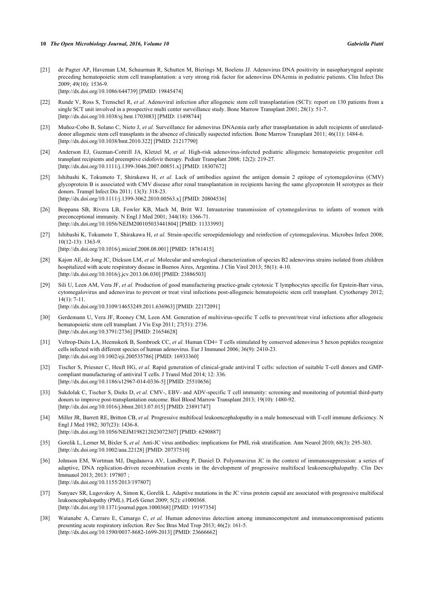<span id="page-6-0"></span>[21] de Pagter AP, Haveman LM, Schuurman R, Schutten M, Bierings M, Boelens JJ. Adenovirus DNA positivity in nasopharyngeal aspirate preceding hematopoietic stem cell transplantation: a very strong risk factor for adenovirus DNAemia in pediatric patients. Clin Infect Dis 2009; 49(10): 1536-9.

[\[http://dx.doi.org/10.1086/644739\]](http://dx.doi.org/10.1086/644739) [PMID: [19845474](http://www.ncbi.nlm.nih.gov/pubmed/19845474)]

- <span id="page-6-1"></span>[22] Runde V, Ross S, Trenschel R, *et al.* Adenoviral infection after allogeneic stem cell transplantation (SCT): report on 130 patients from a single SCT unit involved in a prospective multi center surveillance study. Bone Marrow Transplant 2001; 28(1): 51-7. [\[http://dx.doi.org/10.1038/sj.bmt.1703083\]](http://dx.doi.org/10.1038/sj.bmt.1703083) [PMID: [11498744](http://www.ncbi.nlm.nih.gov/pubmed/11498744)]
- <span id="page-6-2"></span>[23] Muñoz-Cobo B, Solano C, Nieto J, *et al.* Surveillance for adenovirus DNAemia early after transplantation in adult recipients of unrelateddonor allogeneic stem cell transplants in the absence of clinically suspected infection. Bone Marrow Transplant 2011; 46(11): 1484-6. [\[http://dx.doi.org/10.1038/bmt.2010.322](http://dx.doi.org/10.1038/bmt.2010.322)] [PMID: [21217790\]](http://www.ncbi.nlm.nih.gov/pubmed/21217790)
- <span id="page-6-3"></span>[24] Anderson EJ, Guzman-Cottrill JA, Kletzel M, *et al.* High-risk adenovirus-infected pediatric allogeneic hematopoietic progenitor cell transplant recipients and preemptive cidofovir therapy. Pediatr Transplant 2008; 12(2): 219-27. [\[http://dx.doi.org/10.1111/j.1399-3046.2007.00851.x\]](http://dx.doi.org/10.1111/j.1399-3046.2007.00851.x) [PMID: [18307672](http://www.ncbi.nlm.nih.gov/pubmed/18307672)]
- <span id="page-6-4"></span>[25] Ishibashi K, Tokumoto T, Shirakawa H, *et al.* Lack of antibodies against the antigen domain 2 epitope of cytomegalovirus (CMV) glycoprotein B is associated with CMV disease after renal transplantation in recipients having the same glycoprotein H serotypes as their donors. Transpl Infect Dis 2011; 13(3): 318-23. [\[http://dx.doi.org/10.1111/j.1399-3062.2010.00563.x\]](http://dx.doi.org/10.1111/j.1399-3062.2010.00563.x) [PMID: [20804536](http://www.ncbi.nlm.nih.gov/pubmed/20804536)]
- <span id="page-6-5"></span>[26] Boppana SB, Rivera LB, Fowler KB, Mach M, Britt WJ. Intrauterine transmission of cytomegalovirus to infants of women with preconceptional immunity. N Engl J Med 2001; 344(18): 1366-71. [\[http://dx.doi.org/10.1056/NEJM200105033441804\]](http://dx.doi.org/10.1056/NEJM200105033441804) [PMID: [11333993](http://www.ncbi.nlm.nih.gov/pubmed/11333993)]
- <span id="page-6-6"></span>[27] Ishibashi K, Tokumoto T, Shirakawa H, *et al.* Strain-specific seroepidemiology and reinfection of cytomegalovirus. Microbes Infect 2008; 10(12-13): 1363-9. [\[http://dx.doi.org/10.1016/j.micinf.2008.08.001\]](http://dx.doi.org/10.1016/j.micinf.2008.08.001) [PMID: [18761415](http://www.ncbi.nlm.nih.gov/pubmed/18761415)]
- <span id="page-6-7"></span>[28] Kajon AE, de Jong JC, Dickson LM, *et al.* Molecular and serological characterization of species B2 adenovirus strains isolated from children hospitalized with acute respiratory disease in Buenos Aires, Argentina. J Clin Virol 2013; 58(1): 4-10. [\[http://dx.doi.org/10.1016/j.jcv.2013.06.030\]](http://dx.doi.org/10.1016/j.jcv.2013.06.030) [PMID: [23886503](http://www.ncbi.nlm.nih.gov/pubmed/23886503)]
- <span id="page-6-8"></span>[29] Sili U, Leen AM, Vera JF, et al. Production of good manufacturing practice-grade cytotoxic T lymphocytes specific for Epstein-Barr virus, cytomegalovirus and adenovirus to prevent or treat viral infections post-allogeneic hematopoietic stem cell transplant. Cytotherapy 2012; 14(1): 7-11. [\[http://dx.doi.org/10.3109/14653249.2011.636963\]](http://dx.doi.org/10.3109/14653249.2011.636963) [PMID: [22172091](http://www.ncbi.nlm.nih.gov/pubmed/22172091)]
- <span id="page-6-9"></span>[30] Gerdemann U, Vera JF, Rooney CM, Leen AM. Generation of multivirus-specific T cells to prevent/treat viral infections after allogeneic hematopoietic stem cell transplant. J Vis Exp 2011; 27(51): 2736. [\[http://dx.doi.org/10.3791/2736\]](http://dx.doi.org/10.3791/2736) [PMID: [21654628](http://www.ncbi.nlm.nih.gov/pubmed/21654628)]
- <span id="page-6-10"></span>[31] Veltrop-Duits LA, Heemskerk B, Sombroek CC, et al. Human CD4+ T cells stimulated by conserved adenovirus 5 hexon peptides recognize cells infected with different species of human adenovirus. Eur J Immunol 2006; 36(9): 2410-23. [\[http://dx.doi.org/10.1002/eji.200535786\]](http://dx.doi.org/10.1002/eji.200535786) [PMID: [16933360](http://www.ncbi.nlm.nih.gov/pubmed/16933360)]
- <span id="page-6-11"></span>[32] Tischer S, Priesner C, Heuft HG, *et al.* Rapid generation of clinical-grade antiviral T cells: selection of suitable T-cell donors and GMPcompliant manufacturing of antiviral T cells. J Transl Med 2014; 12: 336. [\[http://dx.doi.org/10.1186/s12967-014-0336-5\]](http://dx.doi.org/10.1186/s12967-014-0336-5) [PMID: [25510656](http://www.ncbi.nlm.nih.gov/pubmed/25510656)]
- <span id="page-6-12"></span>[33] Sukdolak C, Tischer S, Dieks D, *et al.* CMV-, EBV- and ADV-specific T cell immunity: screening and monitoring of potential third-party donors to improve post-transplantation outcome. Biol Blood Marrow Transplant 2013; 19(10): 1480-92. [\[http://dx.doi.org/10.1016/j.bbmt.2013.07.015](http://dx.doi.org/10.1016/j.bbmt.2013.07.015)] [PMID: [23891747](http://www.ncbi.nlm.nih.gov/pubmed/23891747)]
- <span id="page-6-13"></span>[34] Miller JR, Barrett RE, Britton CB, *et al.* Progressive multifocal leukoencephalopathy in a male homosexual with T-cell immune deficiency. N Engl J Med 1982; 307(23): 1436-8. [\[http://dx.doi.org/10.1056/NEJM198212023072307\]](http://dx.doi.org/10.1056/NEJM198212023072307) [PMID: [6290887](http://www.ncbi.nlm.nih.gov/pubmed/6290887)]
- <span id="page-6-14"></span>[35] Gorelik L, Lerner M, Bixler S, *et al.* Anti-JC virus antibodies: implications for PML risk stratification. Ann Neurol 2010; 68(3): 295-303. [\[http://dx.doi.org/10.1002/ana.22128\]](http://dx.doi.org/10.1002/ana.22128) [PMID: [20737510](http://www.ncbi.nlm.nih.gov/pubmed/20737510)]
- <span id="page-6-15"></span>[36] Johnson EM, Wortman MJ, Dagdanova AV, Lundberg P, Daniel D. Polyomavirus JC in the context of immunosuppression: a series of adaptive, DNA replication-driven recombination events in the development of progressive multifocal leukoencephalopathy. Clin Dev Immunol 2013; 2013: 197807 ; [\[http://dx.doi.org/10.1155/2013/197807](http://dx.doi.org/10.1155/2013/197807)]
- <span id="page-6-16"></span>[37] Sunyaev SR, Lugovskoy A, Simon K, Gorelik L. Adaptive mutations in the JC virus protein capsid are associated with progressive multifocal leukoencephalopathy (PML). PLoS Genet 2009; 5(2): e1000368. [\[http://dx.doi.org/10.1371/journal.pgen.1000368](http://dx.doi.org/10.1371/journal.pgen.1000368)] [PMID: [19197354\]](http://www.ncbi.nlm.nih.gov/pubmed/19197354)
- <span id="page-6-17"></span>[38] Watanabe A, Carraro E, Camargo C, *et al.* Human adenovirus detection among immunocompetent and immunocompromised patients presenting acute respiratory infection. Rev Soc Bras Med Trop 2013; 46(2): 161-5. [\[http://dx.doi.org/10.1590/0037-8682-1699-2013\]](http://dx.doi.org/10.1590/0037-8682-1699-2013) [PMID: [23666662](http://www.ncbi.nlm.nih.gov/pubmed/23666662)]